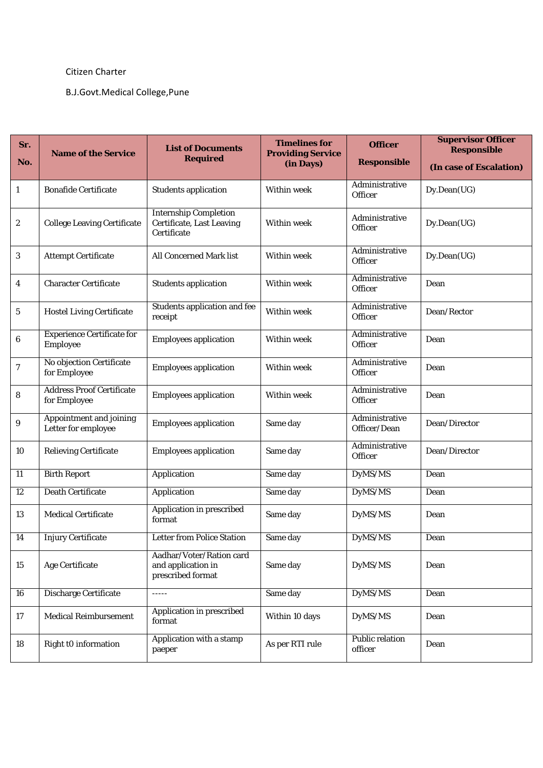## Citizen Charter

## B.J.Govt.Medical College,Pune

| Sr.<br>No.       | <b>Name of the Service</b>                       | <b>List of Documents</b><br><b>Required</b>                              | <b>Timelines for</b><br><b>Providing Service</b><br>(in Days) | <b>Officer</b><br><b>Responsible</b> | <b>Supervisor Officer</b><br><b>Responsible</b><br>(In case of Escalation) |
|------------------|--------------------------------------------------|--------------------------------------------------------------------------|---------------------------------------------------------------|--------------------------------------|----------------------------------------------------------------------------|
| $\mathbf{1}$     | <b>Bonafide Certificate</b>                      | <b>Students application</b>                                              | Within week                                                   | Administrative<br>Officer            | Dy.Dean(UG)                                                                |
| $\boldsymbol{2}$ | <b>College Leaving Certificate</b>               | <b>Internship Completion</b><br>Certificate, Last Leaving<br>Certificate | Within week                                                   | Administrative<br>Officer            | Dy.Dean(UG)                                                                |
| $\mathbf{3}$     | <b>Attempt Certificate</b>                       | All Concerned Mark list                                                  | Within week                                                   | Administrative<br>Officer            | Dy.Dean(UG)                                                                |
| $\overline{4}$   | <b>Character Certificate</b>                     | <b>Students application</b>                                              | Within week                                                   | Administrative<br>Officer            | Dean                                                                       |
| $\sqrt{5}$       | <b>Hostel Living Certificate</b>                 | <b>Students application and fee</b><br>receipt                           | Within week                                                   | Administrative<br>Officer            | Dean/Rector                                                                |
| 6                | <b>Experience Certificate for</b><br>Employee    | <b>Employees application</b>                                             | <b>Within week</b>                                            | Administrative<br>Officer            | Dean                                                                       |
| $\boldsymbol{7}$ | No objection Certificate<br>for Employee         | <b>Employees application</b>                                             | <b>Within week</b>                                            | Administrative<br>Officer            | Dean                                                                       |
| 8                | <b>Address Proof Certificate</b><br>for Employee | <b>Employees application</b>                                             | <b>Within week</b>                                            | Administrative<br>Officer            | Dean                                                                       |
| 9                | Appointment and joining<br>Letter for employee   | <b>Employees application</b>                                             | Same day                                                      | Administrative<br>Officer/Dean       | Dean/Director                                                              |
| 10               | <b>Relieving Certificate</b>                     | <b>Employees application</b>                                             | Same day                                                      | Administrative<br>Officer            | Dean/Director                                                              |
| $\overline{11}$  | <b>Birth Report</b>                              | Application                                                              | Same day                                                      | DyMS/MS                              | Dean                                                                       |
| 12               | <b>Death Certificate</b>                         | Application                                                              | Same day                                                      | DyMS/MS                              | Dean                                                                       |
| 13               | <b>Medical Certificate</b>                       | Application in prescribed<br>format                                      | Same day                                                      | DyMS/MS                              | Dean                                                                       |
| $\overline{14}$  | <b>Injury Certificate</b>                        | <b>Letter from Police Station</b>                                        | Same day                                                      | DyMS/MS                              | Dean                                                                       |
| 15               | <b>Age Certificate</b>                           | Aadhar/Voter/Ration card<br>and application in<br>prescribed format      | Same day                                                      | DyMS/MS                              | Dean                                                                       |
| 16               | Discharge Certificate                            | $- - - - -$                                                              | Same day                                                      | DyMS/MS                              | Dean                                                                       |
| 17               | <b>Medical Reimbursement</b>                     | Application in prescribed<br>format                                      | Within 10 days                                                | DyMS/MS                              | Dean                                                                       |
| 18               | Right t0 information                             | Application with a stamp<br>paeper                                       | As per RTI rule                                               | <b>Public relation</b><br>officer    | Dean                                                                       |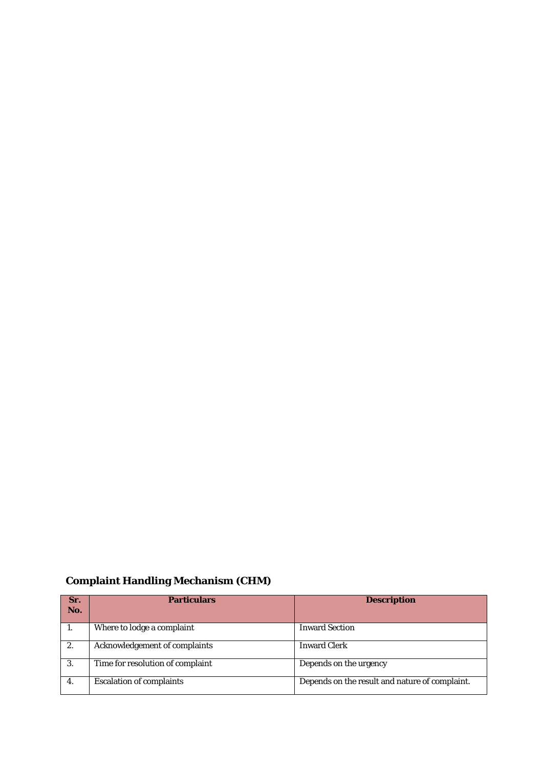## **Complaint Handling Mechanism (CHM)**

| Sr.<br>No. | <b>Particulars</b>               | <b>Description</b>                             |
|------------|----------------------------------|------------------------------------------------|
| 1.         | Where to lodge a complaint       | <b>Inward Section</b>                          |
| 2.         | Acknowledgement of complaints    | <b>Inward Clerk</b>                            |
| 3.         | Time for resolution of complaint | Depends on the urgency                         |
| 4.         | <b>Escalation of complaints</b>  | Depends on the result and nature of complaint. |